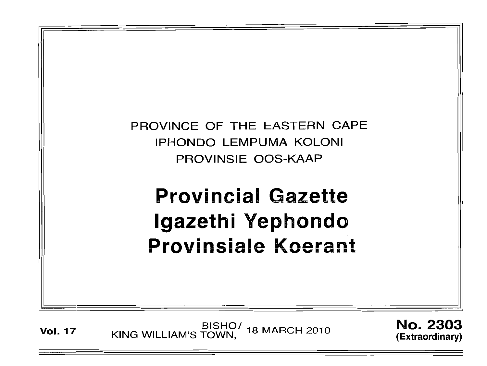

BISHO/ 18 MARCH 2010<br>KING WILLIAM'S TOWN, 18 MARCH 2010 **Vol. 17** 

**No. 2303** (Extraordinary)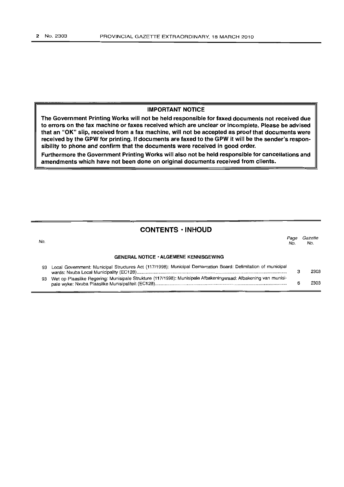#### **IMPORTANT NOTICE**

**The Government Printing Works will not be held responsible for faxed documents not received due to errors on the fax machine or faxes received which are unclear or incomplete. Please be advised that an "OK" slip, received from a fax machine, will not be accepted as proof that documents were received by the GPW for printing. If documents are faxed to the GPW it will be the sender's responsibility to phone and confirm that the documents were received in good order.**

**Furthermore the Government Printing Works will also not be held responsible for cancellations and amendments which have not been done on original documents received from clients.**

# **CONTENTS ·INHOUD**

No. **GENERAL NOTICE' ALGEMENE KENNISGEWING** Page Gazette<br>No. No. No. No. 93 Local Government: Municipal Structures Act (117/1998): Municipal Demarcation Board: Delimitation of municipal wards: Nxuba Local Municipality (EC128) . 93 Wet op Plaaslike Regering: Munisipale Strukture (117/1998): Munisipale Afbakeningsraad: Afbakening van munisipale wyke: Nxuba Plaaslike Munisipaliteit (EC128) . 3 6 2303 2303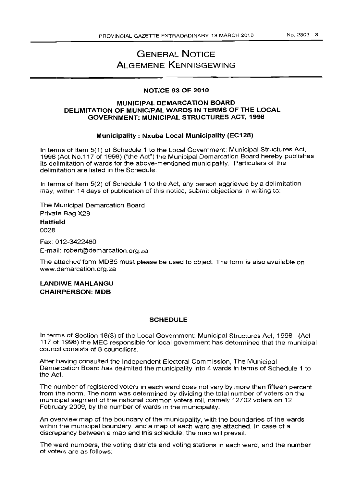No.2303 3

# **GENERAL NOTICE ALGEMENE KENNISGEWING**

#### **NOTICE 93 OF 2010**

### **MUNICIPAL DEMARCATION BOARD DELIMITATION OF MUNICIPAL WARDS IN TERMS OF THE LOCAL GOVERNMENT: MUNICIPAL STRUCTURES ACT, 1998**

#### **Municipality: Nxuba Local Municipality (EC128)**

In terms of Item 5(1) of Schedule 1 to the Local Government: Municipal Structures Act, 1998 (Act No.117 of 1998) ("the Act") the Municipal Demarcation Board hereby publishes its delimitation of wards for the above-mentioned municipality. Particulars of the delimitation are listed in the Schedule.

In terms of Item 5(2) of Schedule 1 to the Act, any person aggrieved by a delimitation may, within 14 days of publication of this notice, submit objections in writing to:

The Municipal Demarcation Board Private Bag X28

**Hatfield** 0028

Fax: 012-3422480 E-mail: robert@demarcation.org.za

The attached form MDB5 must please be used to object. The form is also available on www.demarcation.org.za

**LANDIWE MAHLANGU CHAIRPERSON: MDB**

#### **SCHEDULE**

In terms of Section 18(3) of the Local Government: Municipal Structures Act, 1998 (Act 117 of 1998) the MEC responsible for local government has determined that the municipal council consists of 8 councillors.

After having consulted the Independent Electoral Commission, The Municipal Demarcation Board has delimited the municipality into 4 wards in terms of Schedule 1 to the Act.

The number of registered voters in each ward does not vary by more than fifteen percent from the norm. The norm was determined by dividing the total number of voters on the municipal segment of the national common voters roll, namely 12702 voters on 12 February 2009, by the number of wards in the municipality.

An overview map of the boundary of the municipality, with the boundaries of the wards within the municipal boundary, and a map of each ward are attached. In case of a discrepancy between a map and this schedule, the map will prevail.

The ward numbers, the voting districts and voting stations in each ward, and the number of voters are as follows: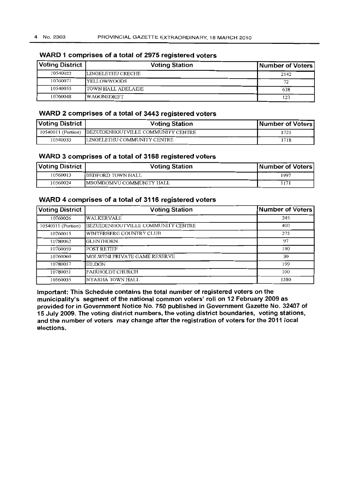| <b>Voting District</b> | <b>Voting Station</b> | Number of Voters |
|------------------------|-----------------------|------------------|
| 10540022               | LINGELETHU CRECHE     | 2142             |
| 10760071               | <b>YELLOWWOODS</b>    | 77               |
| 10540055               | ITOWN HALL ADELAIDE   | 638              |
| 10760048               | <b>WAGONSDRIFT</b>    | 123              |

# **WARD 1 comprises of a total of 2975 registered voters**

# **WARD 2 comprises of a total of 3443 registered voters**

| Voting District丨 | <b>Voting Station</b>                                 | Number of Voters |
|------------------|-------------------------------------------------------|------------------|
|                  | 10540011 (Portion) BEZUIDENHOUTVILLE COMMUNITY CENTRE | ' 725            |
| 10540033         | LINGELETHU COMMUNITY CENTRE                           | 1718             |

# **WARD 3 comprises of a total of 3168 registered voters**

| Voting District | <b>Voting Station</b>            | Number of Voters |
|-----------------|----------------------------------|------------------|
| 10560013        | <b>IBEDFORD TOWN HALL</b>        | 1997             |
| 10560024        | <b>IMSOMBOMVU COMMUNITY HALL</b> | 171              |

### **WARD 4 comprises of a total of 3116 registered voters**

| <b>Voting District</b> | <b>Voting Station</b>              | Number of Voters |
|------------------------|------------------------------------|------------------|
| 10760026               | WALKERVALE                         | 245              |
| 10540011 (Portion)     | BEZUIDENHOUTVILLE COMMUNITY CENTRE | 400              |
| 10760015               | WINTERBERG COUNTRY CLUB            | 275              |
| 10780062               | IGLENTHORN                         | 97               |
| 10760059               | POST RETTEF                        | 190              |
| 10760060               | MOLWENI PRIVATE GAME RESERVE       | 30               |
| 10780017               | <b>EILDON</b>                      | 199              |
| 10780051               | FAIRHOLDT CHURCH                   | 100              |
| 10560035               | NYARHA TOWN HALL                   | 1580             |

**Important: This Schedule contains the total number of registered voters on the municipality's segment of the national common voters' roll on 12 February 2009 as provided for in Government I\lotice No. 750 published in Government Gazette No. 32407 of 15 July 2009. The voting district numbers, the voting district boundaries, voting stations, and the number of voters may change after the registration of voters for the 2011 local elections.**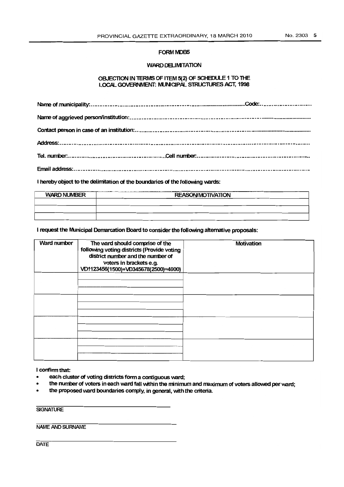#### FORM MDB5

#### WARD DELIMITATION

#### OBJECTION IN TERMS OF ITEM 5(2) OF SCHEDULE 1 TO THE LOCAL GOVERNMENT: MUNICIPAL STRUCTURES ACT, 1998

I hereby object to the delimitation of the boundaries of the following wards:

| ------<br><b>WARD NUMBER</b> | ------<br><b>REASON/MOTIVATION</b> |  |
|------------------------------|------------------------------------|--|
|                              |                                    |  |
|                              |                                    |  |
|                              |                                    |  |

I request the Municipal Demarcation Board to consider the following alternative proposals:

| <b>Ward number</b> | The ward should comprise of the<br>following voting districts (Provide voting<br>district number and the number of<br>voters in brackets e.g.<br>VD1123456(1500)+VD345678(2500)=4000) | Motivation |
|--------------------|---------------------------------------------------------------------------------------------------------------------------------------------------------------------------------------|------------|
|                    |                                                                                                                                                                                       |            |
|                    |                                                                                                                                                                                       |            |
|                    |                                                                                                                                                                                       |            |
|                    |                                                                                                                                                                                       |            |

I confirm that:

- each cluster of voting districts form a contiguous ward;
- the number of voters in each ward fall within the minimum and maximum of voters allowed per ward;
- the proposed ward boundaries comply, in general, Wth the criteria.

**SIGNATURE** 

**NAME AND SURNAME** 

**DATE**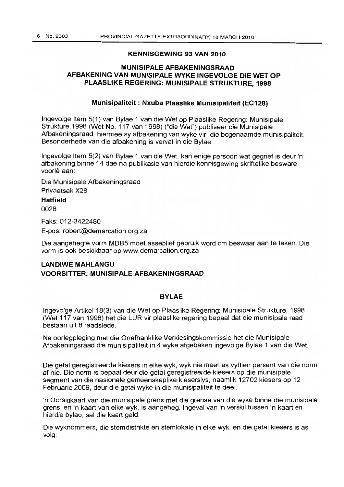#### **KENNISGEWING 93 VAN 2010**

# **MlINISIPALE AFBAKENINGSRAAD AFBAKENING VAN MUNISIPALE WYKE INGEVOLGE DIE WET OP PLAASUKE REGERING: MUNISIPALE STRUKTURE, 1998**

#### **Munisipaliteit : Nxuba Plaaslike Munisipaliteit (EC128)**

Ingevolge Item 5(1) van Bylae 1 van die Wet op Plaaslike Regering: Munisipale Strukture, 1998 (Wet No. 117 van 1998) ("die Wet") publiseer die Munisipale Afbakeningsraad hiermee sy afbakening van wyke vir die bogenaamde munisipaliteit. Besonderhede van die afbakening is vervat in die Bylae.

Ingevolge Item 5(2) van Bylae 1 van die Wet, kan enige persoon wat gegrief is deur 'n afbakening binne 14 dae na publikasie van hierdie kennisgewing skriftelike besware voorlê aan:

Die Munisipale Afbakeningsraad Privaatsak X28

**Hatfield**

0028

Faks: 012-3422480

E-pos: robert@demarcation.org.za

Die aangehegte vorm MDB5 moet asseblief gebruik word om beswaar aan te teken. Die vorm is ook beskikbaar op www.demarcation.org.za

# **LANDIWE MAHLANGU VOORSITTER: MUNISIPALE AFBAKENINGSRAAD**

# **BYLAE**

Ingevolge Artikel 18(3) van die Wet op Plaaslike Regering: Munisipale Strukture, 1998 (Wet 117 van 1998) het die LUR vir plaaslike regering bepaal dat die munisipale raad bestaan uit 8 raadslede.

Na oorlegpleging met die Onafhanklike Verkiesingskommissie het die Munisipale Afbakeningsraad die munisipaliteit in 4 wyke afgebaken ingevolge Bylae 1 van die Wet.

Die getal geregistreerde kiesers in elke wyk, wyk nie meer as vyftien persent van die norm af nie. Die norm is bepaal deur die getal geregistreerde kiesers op die munisipale segment van die nasionale gemeenskaplike kieserslys, naamlik 12702 kiesers op 12 Februarie 2009, deur die getal wyke in die munisipaliteit te deal.

'n Oorsigkaart van die munisipale grens met die grense van die wyke binne die munisipale grens, en 'n kaart van elke wyk, is aangeheg. Ingeval van 'n verskil tussen 'n kaart en hierdie bylae, sal die kaart geld.

Die wyknommers, die stemdistrikte en stemlokale in elke wyk, en die getal kiesers is as volg: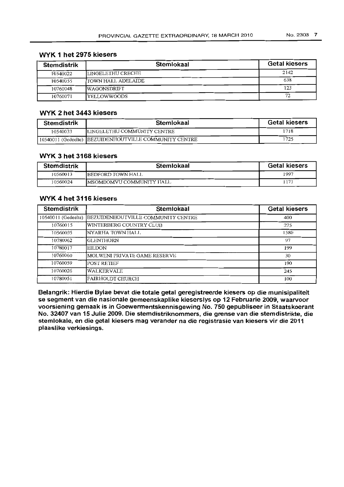| <b>Stemdistrik</b> | <b>Stemlokaal</b>   | <b>Getal kiesers</b> |
|--------------------|---------------------|----------------------|
| 10540022           | LINGELETHU CRECHE   | 2142                 |
| 10540055           | ITOWN HALL ADELAIDE | 638                  |
| 10760048           | <b>IWAGONSDRIFT</b> | 123                  |
| 10760071           | YELLOWWOODS         | 72                   |

# **WYK 1 het 2975 kiesers**

# **WYK 2 het 3443 kiesers**

| Stemdistrik | Stemlokaal                                              | <b>Getal kiesers</b> |
|-------------|---------------------------------------------------------|----------------------|
| 10540033    | LINGELETHU COMMUNITY CENTRE                             | 1718                 |
|             | 10540011 (Gedeelte)  BEZUIDENHOUTVILLE COMMUNITY CENTRE | 1725                 |

# **WYK 3 het 3168 kiesers**

| <b>Stemdistrik</b> | Stemlokaal                | <b>Getal kiesers</b> |
|--------------------|---------------------------|----------------------|
| 10560013           | <b>IBEDFORD TOWN HALL</b> | 1997                 |
| 10560024           | IMSOMBOMVU COMMUNITY HALL |                      |

### **WYK 4 het 3116 kiesers**

| <b>Stemdistrik</b>  | Stemlokaal                         | <b>Getal kiesers</b> |
|---------------------|------------------------------------|----------------------|
| 10540011 (Gedeelte) | BEZUIDENHOUTVILLE COMMUNITY CENTRE | 400                  |
| 10760015            | WINTERBERG COUNTRY CLUB            | 275                  |
| 10560035            | Inyarha town hall.                 | 1580                 |
| 10780062            | IGLENTHORN                         | 97                   |
| 10780017            | IEILDON                            | 199                  |
| 10760060            | MOLWENI PRIVATE GAME RESERVE       | 30                   |
| 10760059            | <b>POST RETIEF</b>                 | 190                  |
| 10760026            | <b>WALKERVALE</b>                  | 245                  |
| 10780051            | FAIRHOLDT CHURCH                   | 100                  |

**Belangrik: Hierdie Bylae bevat die totale getal geregistreerde kiesers op die munisipaliteit se segment van die nasionale gemeenskaplike kieserslys op 12 Februarie 2009, waarvoor voorsiening gemaak is in Goewermentskennisgewing No. 750 gepubliseer in Staatskoerant No. 32407 van 15 Julie 2009. Die stemdistriknommers, die grense van die stemdistrikte, die stemlokale, en die getal kiesers mag verander na die registrasie van kiesers vir die 2011 plaaslike verkiesings.**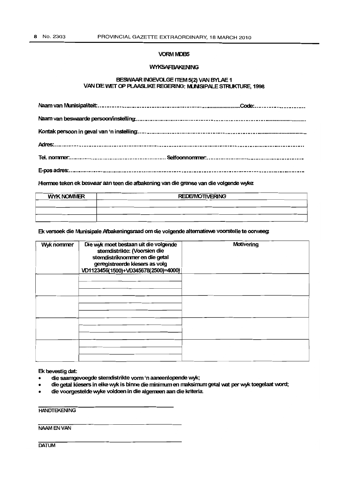#### **VORM MDB5**

#### WYKSAFBAKENING

#### BESWAAR INGEVOLGE ITEM 5(2) VAN BYLAE 1 VAN DIE WET OP PLAASLIKE REGERING: MUNISIPALE STRUKTURE, 1998

Hiermee teken ek beswaar aan teen die afbakening van die grense van die volgende wyke:

| <b>WYK NOMMER</b> | <b>REDE/MOTIVERING</b> |  |  |
|-------------------|------------------------|--|--|
|                   |                        |  |  |
|                   |                        |  |  |
|                   |                        |  |  |

Ek versoek die Munisipale Afbakeningsraad om die volgende alternatiewe voorstelle te oorweeg:

| Wyk nommer | Die wyk moet bestaan uit die volgende<br>stemdistrikte: (Voorsien die<br>stemdistriknommer en die getal<br>geregistreerde kiesers as volg<br>VD1123456(1500)+VD345678(2500)=4000) | Motivering |
|------------|-----------------------------------------------------------------------------------------------------------------------------------------------------------------------------------|------------|
|            |                                                                                                                                                                                   |            |
|            |                                                                                                                                                                                   |            |
|            |                                                                                                                                                                                   |            |
|            |                                                                                                                                                                                   |            |

Ek bevestig dat:

- die saamgevoegde stemdistrikte vonn 'n aaneenlopende wyk;
- die getal kiesers in elke wyk is binne die minimum en maksimum getal wat per wyk toegelaat word;
- die voorgestelde wyke voldoen in die a1gemeen aan die kriteria.

**HANDTEKENING** 

NAAMENVAN

**DATUM**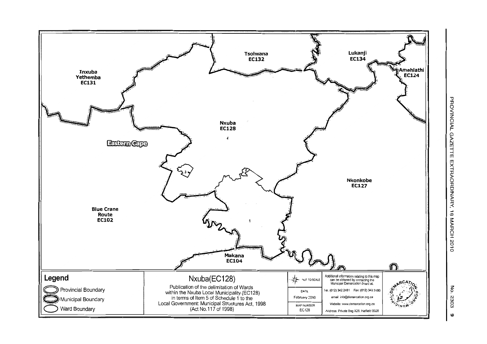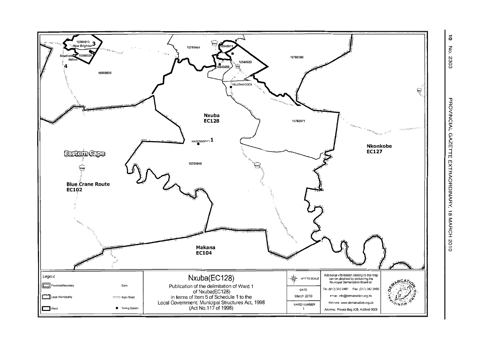

 $\ddot{\circ}$  $\mathbf{F}_{\mathbf{c}}$ 2303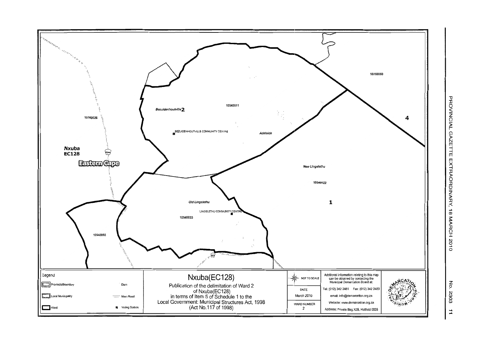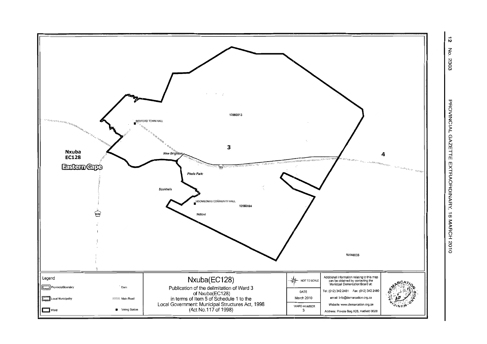